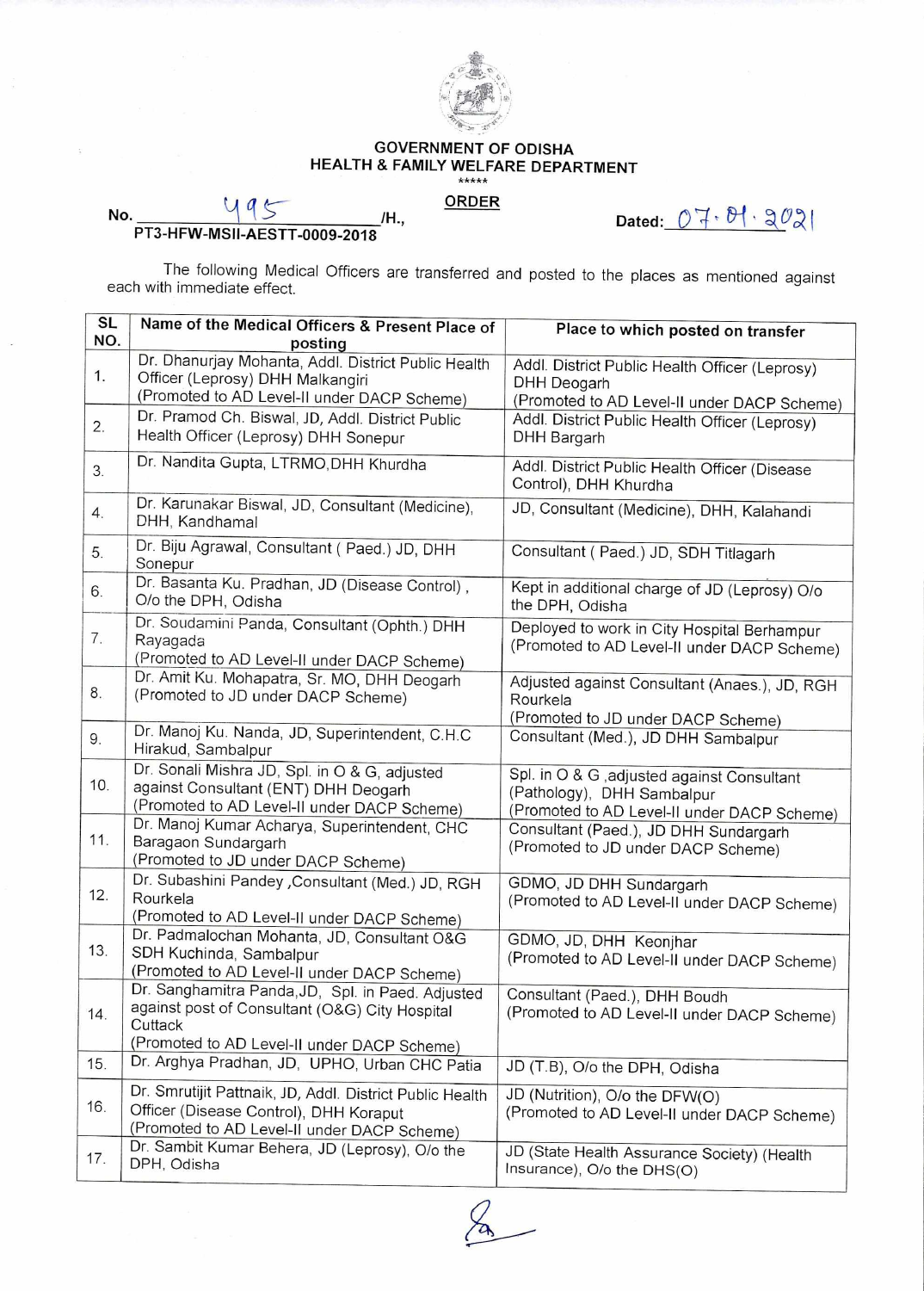

## GOVERNMENT OF ODISHA HEALTH & FAMILY WELFARE DEPARTMENT

## **ORDER**

**Dated: n No. /H., PT3-HFW-MS11-AESTT-0009-2018** 

The following Medical Officers are transferred and posted to the places as mentioned against each with immediate effect.

| SL  | Name of the Medical Officers & Present Place of                                                                                                               | Place to which posted on transfer                                                                                        |
|-----|---------------------------------------------------------------------------------------------------------------------------------------------------------------|--------------------------------------------------------------------------------------------------------------------------|
| NO. | posting                                                                                                                                                       |                                                                                                                          |
| 1.  | Dr. Dhanurjay Mohanta, Addl. District Public Health<br>Officer (Leprosy) DHH Malkangiri<br>(Promoted to AD Level-II under DACP Scheme)                        | Addl. District Public Health Officer (Leprosy)<br>DHH Deogarh<br>(Promoted to AD Level-II under DACP Scheme)             |
| 2.  | Dr. Pramod Ch. Biswal, JD, Addl. District Public<br>Health Officer (Leprosy) DHH Sonepur                                                                      | Addl. District Public Health Officer (Leprosy)<br>DHH Bargarh                                                            |
| 3.  | Dr. Nandita Gupta, LTRMO, DHH Khurdha                                                                                                                         | Addl. District Public Health Officer (Disease<br>Control), DHH Khurdha                                                   |
| 4.  | Dr. Karunakar Biswal, JD, Consultant (Medicine),<br>DHH, Kandhamal                                                                                            | JD, Consultant (Medicine), DHH, Kalahandi                                                                                |
| 5.  | Dr. Biju Agrawal, Consultant (Paed.) JD, DHH<br>Sonepur                                                                                                       | Consultant (Paed.) JD, SDH Titlagarh                                                                                     |
| 6.  | Dr. Basanta Ku. Pradhan, JD (Disease Control),<br>O/o the DPH, Odisha                                                                                         | Kept in additional charge of JD (Leprosy) O/o<br>the DPH, Odisha                                                         |
| 7.  | Dr. Soudamini Panda, Consultant (Ophth.) DHH<br>Rayagada<br>(Promoted to AD Level-II under DACP Scheme)                                                       | Deployed to work in City Hospital Berhampur<br>(Promoted to AD Level-II under DACP Scheme)                               |
| 8.  | Dr. Amit Ku. Mohapatra, Sr. MO, DHH Deogarh<br>(Promoted to JD under DACP Scheme)                                                                             | Adjusted against Consultant (Anaes.), JD, RGH<br>Rourkela<br>(Promoted to JD under DACP Scheme)                          |
| 9.  | Dr. Manoj Ku. Nanda, JD, Superintendent, C.H.C<br>Hirakud, Sambalpur                                                                                          | Consultant (Med.), JD DHH Sambalpur                                                                                      |
| 10. | Dr. Sonali Mishra JD, Spl. in O & G, adjusted<br>against Consultant (ENT) DHH Deogarh<br>(Promoted to AD Level-II under DACP Scheme)                          | Spl. in O & G , adjusted against Consultant<br>(Pathology), DHH Sambalpur<br>(Promoted to AD Level-II under DACP Scheme) |
| 11. | Dr. Manoj Kumar Acharya, Superintendent, CHC<br>Baragaon Sundargarh<br>(Promoted to JD under DACP Scheme)                                                     | Consultant (Paed.), JD DHH Sundargarh<br>(Promoted to JD under DACP Scheme)                                              |
| 12. | Dr. Subashini Pandey , Consultant (Med.) JD, RGH<br>Rourkela<br>(Promoted to AD Level-II under DACP Scheme)                                                   | GDMO, JD DHH Sundargarh<br>(Promoted to AD Level-II under DACP Scheme)                                                   |
| 13. | Dr. Padmalochan Mohanta, JD, Consultant O&G<br>SDH Kuchinda, Sambalpur<br>(Promoted to AD Level-II under DACP Scheme)                                         | GDMO, JD, DHH Keonjhar<br>(Promoted to AD Level-II under DACP Scheme)                                                    |
| 14. | Dr. Sanghamitra Panda, JD, Spl. in Paed. Adjusted<br>against post of Consultant (O&G) City Hospital<br>Cuttack<br>(Promoted to AD Level-II under DACP Scheme) | Consultant (Paed.), DHH Boudh<br>(Promoted to AD Level-II under DACP Scheme)                                             |
| 15. | Dr. Arghya Pradhan, JD, UPHO, Urban CHC Patia                                                                                                                 | JD (T.B), O/o the DPH, Odisha                                                                                            |
| 16. | Dr. Smrutijit Pattnaik, JD, Addl. District Public Health<br>Officer (Disease Control), DHH Koraput<br>(Promoted to AD Level-II under DACP Scheme)             | JD (Nutrition), O/o the DFW(O)<br>(Promoted to AD Level-II under DACP Scheme)                                            |
| 17. | Dr. Sambit Kumar Behera, JD (Leprosy), O/o the<br>DPH, Odisha                                                                                                 | JD (State Health Assurance Society) (Health<br>Insurance), O/o the DHS(O)                                                |